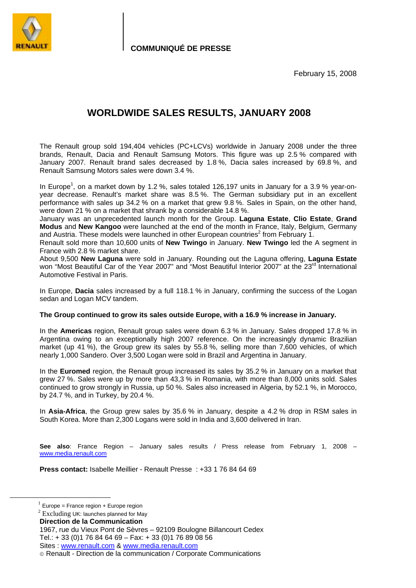

**COMMUNIQUÉ DE PRESSE**

February 15, 2008

# **WORLDWIDE SALES RESULTS, JANUARY 2008**

The Renault group sold 194,404 vehicles (PC+LCVs) worldwide in January 2008 under the three brands, Renault, Dacia and Renault Samsung Motors. This figure was up 2.5 % compared with January 2007. Renault brand sales decreased by 1.8 %, Dacia sales increased by 69.8 %, and Renault Samsung Motors sales were down 3.4 %.

In Europe<sup>1</sup>, on a market down by 1.2 %, sales totaled 126,197 units in January for a 3.9 % year-onyear decrease. Renault's market share was 8.5 %. The German subsidiary put in an excellent performance with sales up 34.2 % on a market that grew 9.8 %. Sales in Spain, on the other hand, were down 21 % on a market that shrank by a considerable 14.8 %.

January was an unprecedented launch month for the Group. **Laguna Estate**, **Clio Estate**, **Grand Modus** and **New Kangoo** were launched at the end of the month in France, Italy, Belgium, Germany and Austria. These models were launched in other European countries<sup>2</sup> from February 1.

Renault sold more than 10,600 units of **New Twingo** in January. **New Twingo** led the A segment in France with 2.8 % market share.

About 9,500 **New Laguna** were sold in January. Rounding out the Laguna offering, **Laguna Estate** won "Most Beautiful Car of the Year 2007" and "Most Beautiful Interior 2007" at the 23<sup>rd</sup> International Automotive Festival in Paris.

In Europe, **Dacia** sales increased by a full 118.1 % in January, confirming the success of the Logan sedan and Logan MCV tandem.

#### **The Group continued to grow its sales outside Europe, with a 16.9 % increase in January.**

In the **Americas** region, Renault group sales were down 6.3 % in January. Sales dropped 17.8 % in Argentina owing to an exceptionally high 2007 reference. On the increasingly dynamic Brazilian market (up 41 %), the Group grew its sales by 55.8 %, selling more than 7,600 vehicles, of which nearly 1,000 Sandero. Over 3,500 Logan were sold in Brazil and Argentina in January.

In the **Euromed** region, the Renault group increased its sales by 35.2 % in January on a market that grew 27 %. Sales were up by more than 43,3 % in Romania, with more than 8,000 units sold. Sales continued to grow strongly in Russia, up 50 %. Sales also increased in Algeria, by 52.1 %, in Morocco, by 24.7 %, and in Turkey, by 20.4 %.

In **Asia-Africa**, the Group grew sales by 35.6 % in January, despite a 4.2 % drop in RSM sales in South Korea. More than 2,300 Logans were sold in India and 3,600 delivered in Iran.

**See also**: France Region – January sales results / Press release from February 1, 2008 – www.media.renault.com

**Press contact:** Isabelle Meillier - Renault Presse : +33 1 76 84 64 69

 $1$  Europe = France region + Europe region

<sup>&</sup>lt;sup>2</sup> Excluding UK: launches planned for May

**Direction de la Communication** 

<sup>1967,</sup> rue du Vieux Pont de Sèvres – 92109 Boulogne Billancourt Cedex Tel.: + 33 (0)1 76 84 64 69 – Fax: + 33 (0)1 76 89 08 56 Sites : www.renault.com & www.media.renault.com

Renault - Direction de la communication / Corporate Communications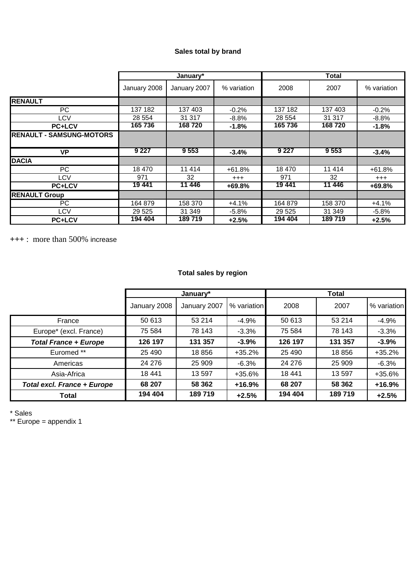## **Sales total by brand**

|                                 | January*     |              |             | <b>Total</b> |         |             |
|---------------------------------|--------------|--------------|-------------|--------------|---------|-------------|
|                                 | January 2008 | January 2007 | % variation | 2008         | 2007    | % variation |
| <b>RENAULT</b>                  |              |              |             |              |         |             |
| PC.                             | 137 182      | 137 403      | $-0.2%$     | 137 182      | 137 403 | $-0.2%$     |
| LCV                             | 28 554       | 31 317       | $-8.8%$     | 28 554       | 31 317  | $-8.8%$     |
| <b>PC+LCV</b>                   | 165 736      | 168720       | $-1.8%$     | 165736       | 168720  | $-1.8%$     |
| <b>RENAULT - SAMSUNG-MOTORS</b> |              |              |             |              |         |             |
| <b>VP</b>                       | 9 2 2 7      | 9553         | $-3.4%$     | 9 2 2 7      | 9553    | $-3.4%$     |
| <b>DACIA</b>                    |              |              |             |              |         |             |
| PC                              | 18 470       | 11 4 14      | $+61.8%$    | 18 470       | 11 414  | $+61.8%$    |
| LCV                             | 971          | 32           | $^{+++}$    | 971          | 32      | $^{+++}$    |
| <b>PC+LCV</b>                   | 19441        | 11 446       | $+69.8%$    | 19 441       | 11 446  | +69.8%      |
| <b>RENAULT Group</b>            |              |              |             |              |         |             |
| PC.                             | 164 879      | 158 370      | $+4.1%$     | 164 879      | 158 370 | $+4.1%$     |
| LCV                             | 29 5 25      | 31 349       | $-5.8%$     | 29 5 25      | 31 349  | $-5.8%$     |
| <b>PC+LCV</b>                   | 194 404      | 189719       | $+2.5%$     | 194 404      | 189719  | $+2.5%$     |

**+++** : more than 500% increase

## **Total sales by region**

|                                    | January*     |              |             | Total   |         |             |
|------------------------------------|--------------|--------------|-------------|---------|---------|-------------|
|                                    | January 2008 | January 2007 | % variation | 2008    | 2007    | % variation |
| France                             | 50 613       | 53 214       | $-4.9%$     | 50 613  | 53 214  | $-4.9%$     |
| Europe* (excl. France)             | 75 584       | 78 143       | $-3.3%$     | 75 584  | 78 143  | $-3.3%$     |
| <b>Total France + Europe</b>       | 126 197      | 131 357      | $-3.9%$     | 126 197 | 131 357 | $-3.9%$     |
| Euromed **                         | 25 490       | 18856        | $+35.2%$    | 25 4 90 | 18856   | $+35.2%$    |
| Americas                           | 24 276       | 25 909       | $-6.3%$     | 24 276  | 25 909  | $-6.3%$     |
| Asia-Africa                        | 18 441       | 13 597       | +35.6%      | 18 441  | 13 597  | +35.6%      |
| <b>Total excl. France + Europe</b> | 68 207       | 58 362       | $+16.9%$    | 68 207  | 58 362  | $+16.9%$    |
| Total                              | 194 404      | 189719       | $+2.5%$     | 194 404 | 189719  | $+2.5%$     |

\* Sales

\*\* Europe = appendix 1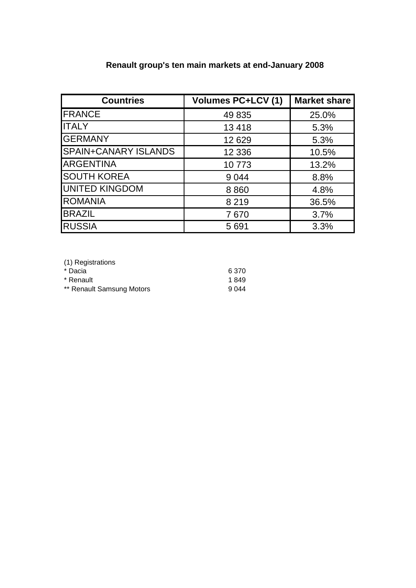# **Renault group's ten main markets at end-January 2008**

| <b>Countries</b>            | <b>Volumes PC+LCV (1)</b> | <b>Market share</b> |
|-----------------------------|---------------------------|---------------------|
| <b>FRANCE</b>               | 49 835                    | 25.0%               |
| <b>ITALY</b>                | 13 4 18                   | 5.3%                |
| <b>GERMANY</b>              | 12 6 29                   | 5.3%                |
| <b>SPAIN+CANARY ISLANDS</b> | 12 3 36                   | 10.5%               |
| <b>ARGENTINA</b>            | 10773                     | 13.2%               |
| <b>SOUTH KOREA</b>          | 9 0 4 4                   | 8.8%                |
| <b>UNITED KINGDOM</b>       | 8860                      | 4.8%                |
| <b>ROMANIA</b>              | 8 2 1 9                   | 36.5%               |
| <b>BRAZIL</b>               | 7670                      | 3.7%                |
| <b>RUSSIA</b>               | 5 6 9 1                   | 3.3%                |

| (1) Registrations         |         |
|---------------------------|---------|
| * Dacia                   | 6 3 7 0 |
| * Renault                 | 1849    |
| ** Renault Samsung Motors | 9 0 4 4 |